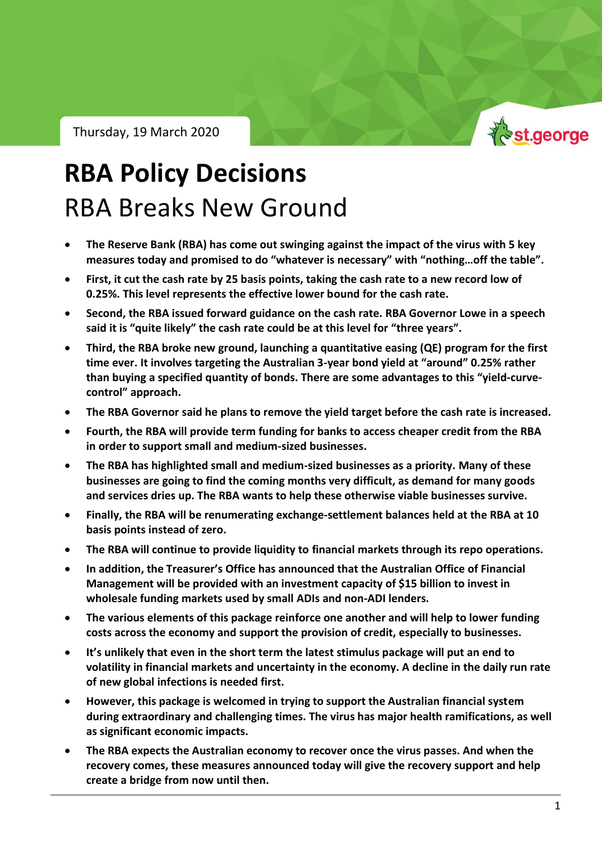Thursday, 19 March 2020



## **RBA Policy Decisions** RBA Breaks New Ground

- **The Reserve Bank (RBA) has come out swinging against the impact of the virus with 5 key measures today and promised to do "whatever is necessary" with "nothing…off the table".**
- **First, it cut the cash rate by 25 basis points, taking the cash rate to a new record low of 0.25%. This level represents the effective lower bound for the cash rate.**
- **Second, the RBA issued forward guidance on the cash rate. RBA Governor Lowe in a speech said it is "quite likely" the cash rate could be at this level for "three years".**
- **Third, the RBA broke new ground, launching a quantitative easing (QE) program for the first time ever. It involves targeting the Australian 3-year bond yield at "around" 0.25% rather than buying a specified quantity of bonds. There are some advantages to this "yield-curvecontrol" approach.**
- **The RBA Governor said he plans to remove the yield target before the cash rate is increased.**
- **Fourth, the RBA will provide term funding for banks to access cheaper credit from the RBA in order to support small and medium-sized businesses.**
- **The RBA has highlighted small and medium-sized businesses as a priority. Many of these businesses are going to find the coming months very difficult, as demand for many goods and services dries up. The RBA wants to help these otherwise viable businesses survive.**
- **Finally, the RBA will be renumerating exchange-settlement balances held at the RBA at 10 basis points instead of zero.**
- **The RBA will continue to provide liquidity to financial markets through its repo operations.**
- **In addition, the Treasurer's Office has announced that the Australian Office of Financial Management will be provided with an investment capacity of \$15 billion to invest in wholesale funding markets used by small ADIs and non-ADI lenders.**
- **The various elements of this package reinforce one another and will help to lower funding costs across the economy and support the provision of credit, especially to businesses.**
- **It's unlikely that even in the short term the latest stimulus package will put an end to volatility in financial markets and uncertainty in the economy. A decline in the daily run rate of new global infections is needed first.**
- **However, this package is welcomed in trying to support the Australian financial system during extraordinary and challenging times. The virus has major health ramifications, as well as significant economic impacts.**
- **The RBA expects the Australian economy to recover once the virus passes. And when the recovery comes, these measures announced today will give the recovery support and help create a bridge from now until then.**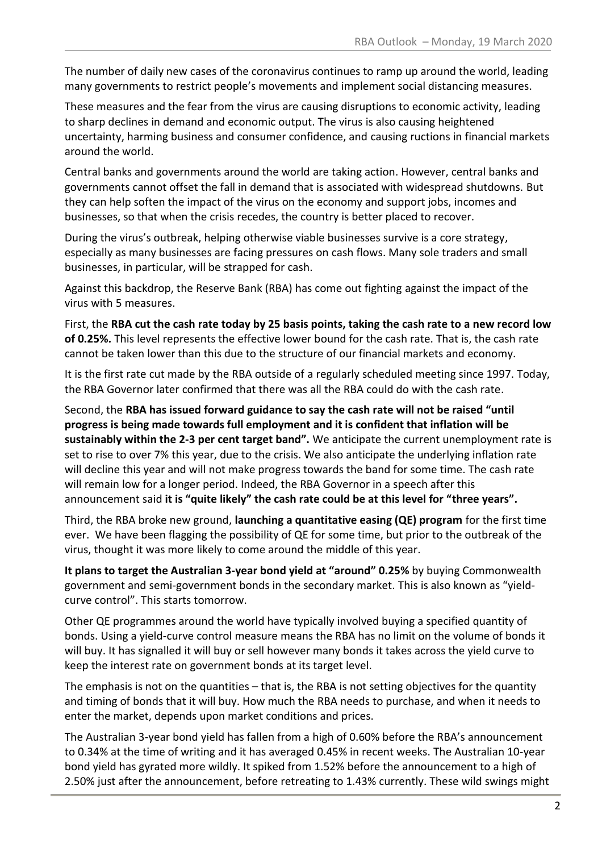The number of daily new cases of the coronavirus continues to ramp up around the world, leading many governments to restrict people's movements and implement social distancing measures.

These measures and the fear from the virus are causing disruptions to economic activity, leading to sharp declines in demand and economic output. The virus is also causing heightened uncertainty, harming business and consumer confidence, and causing ructions in financial markets around the world.

Central banks and governments around the world are taking action. However, central banks and governments cannot offset the fall in demand that is associated with widespread shutdowns. But they can help soften the impact of the virus on the economy and support jobs, incomes and businesses, so that when the crisis recedes, the country is better placed to recover.

During the virus's outbreak, helping otherwise viable businesses survive is a core strategy, especially as many businesses are facing pressures on cash flows. Many sole traders and small businesses, in particular, will be strapped for cash.

Against this backdrop, the Reserve Bank (RBA) has come out fighting against the impact of the virus with 5 measures.

First, the **RBA cut the cash rate today by 25 basis points, taking the cash rate to a new record low of 0.25%.** This level represents the effective lower bound for the cash rate. That is, the cash rate cannot be taken lower than this due to the structure of our financial markets and economy.

It is the first rate cut made by the RBA outside of a regularly scheduled meeting since 1997. Today, the RBA Governor later confirmed that there was all the RBA could do with the cash rate.

Second, the **RBA has issued forward guidance to say the cash rate will not be raised "until progress is being made towards full employment and it is confident that inflation will be sustainably within the 2-3 per cent target band".** We anticipate the current unemployment rate is set to rise to over 7% this year, due to the crisis. We also anticipate the underlying inflation rate will decline this year and will not make progress towards the band for some time. The cash rate will remain low for a longer period. Indeed, the RBA Governor in a speech after this announcement said **it is "quite likely" the cash rate could be at this level for "three years".**

Third, the RBA broke new ground, **launching a quantitative easing (QE) program** for the first time ever. We have been flagging the possibility of QE for some time, but prior to the outbreak of the virus, thought it was more likely to come around the middle of this year.

**It plans to target the Australian 3-year bond yield at "around" 0.25%** by buying Commonwealth government and semi-government bonds in the secondary market. This is also known as "yieldcurve control". This starts tomorrow.

Other QE programmes around the world have typically involved buying a specified quantity of bonds. Using a yield-curve control measure means the RBA has no limit on the volume of bonds it will buy. It has signalled it will buy or sell however many bonds it takes across the yield curve to keep the interest rate on government bonds at its target level.

The emphasis is not on the quantities – that is, the RBA is not setting objectives for the quantity and timing of bonds that it will buy. How much the RBA needs to purchase, and when it needs to enter the market, depends upon market conditions and prices.

The Australian 3-year bond yield has fallen from a high of 0.60% before the RBA's announcement to 0.34% at the time of writing and it has averaged 0.45% in recent weeks. The Australian 10-year bond yield has gyrated more wildly. It spiked from 1.52% before the announcement to a high of 2.50% just after the announcement, before retreating to 1.43% currently. These wild swings might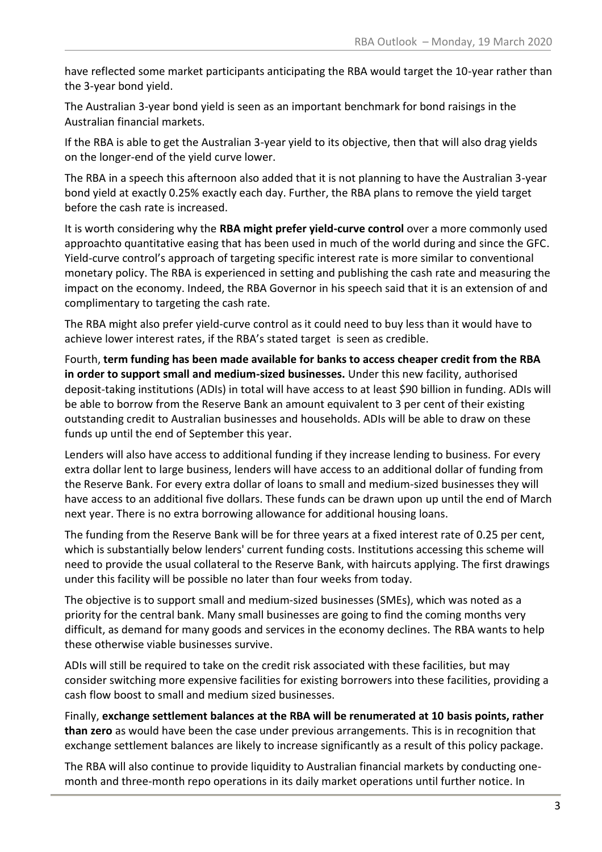have reflected some market participants anticipating the RBA would target the 10-year rather than the 3-year bond yield.

The Australian 3-year bond yield is seen as an important benchmark for bond raisings in the Australian financial markets.

If the RBA is able to get the Australian 3-year yield to its objective, then that will also drag yields on the longer-end of the yield curve lower.

The RBA in a speech this afternoon also added that it is not planning to have the Australian 3-year bond yield at exactly 0.25% exactly each day. Further, the RBA plans to remove the yield target before the cash rate is increased.

It is worth considering why the **RBA might prefer yield-curve control** over a more commonly used approachto quantitative easing that has been used in much of the world during and since the GFC. Yield-curve control's approach of targeting specific interest rate is more similar to conventional monetary policy. The RBA is experienced in setting and publishing the cash rate and measuring the impact on the economy. Indeed, the RBA Governor in his speech said that it is an extension of and complimentary to targeting the cash rate.

The RBA might also prefer yield-curve control as it could need to buy less than it would have to achieve lower interest rates, if the RBA's stated target is seen as credible.

Fourth, **term funding has been made available for banks to access cheaper credit from the RBA in order to support small and medium-sized businesses.** Under this new facility, authorised deposit-taking institutions (ADIs) in total will have access to at least \$90 billion in funding. ADIs will be able to borrow from the Reserve Bank an amount equivalent to 3 per cent of their existing outstanding credit to Australian businesses and households. ADIs will be able to draw on these funds up until the end of September this year.

Lenders will also have access to additional funding if they increase lending to business. For every extra dollar lent to large business, lenders will have access to an additional dollar of funding from the Reserve Bank. For every extra dollar of loans to small and medium-sized businesses they will have access to an additional five dollars. These funds can be drawn upon up until the end of March next year. There is no extra borrowing allowance for additional housing loans.

The funding from the Reserve Bank will be for three years at a fixed interest rate of 0.25 per cent, which is substantially below lenders' current funding costs. Institutions accessing this scheme will need to provide the usual collateral to the Reserve Bank, with haircuts applying. The first drawings under this facility will be possible no later than four weeks from today.

The objective is to support small and medium-sized businesses (SMEs), which was noted as a priority for the central bank. Many small businesses are going to find the coming months very difficult, as demand for many goods and services in the economy declines. The RBA wants to help these otherwise viable businesses survive.

ADIs will still be required to take on the credit risk associated with these facilities, but may consider switching more expensive facilities for existing borrowers into these facilities, providing a cash flow boost to small and medium sized businesses.

Finally, **exchange settlement balances at the RBA will be renumerated at 10 basis points, rather than zero** as would have been the case under previous arrangements. This is in recognition that exchange settlement balances are likely to increase significantly as a result of this policy package.

The RBA will also continue to provide liquidity to Australian financial markets by conducting onemonth and three-month repo operations in its daily market operations until further notice. In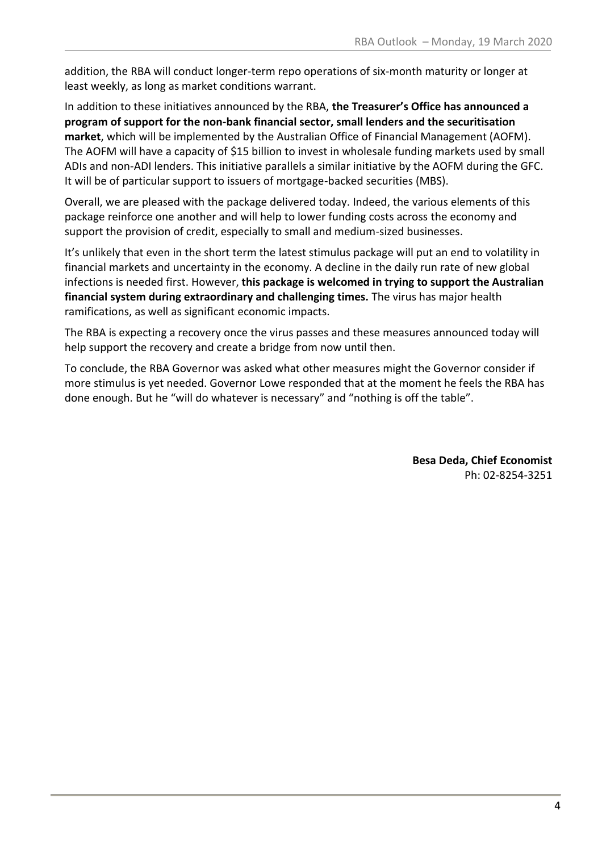addition, the RBA will conduct longer-term repo operations of six-month maturity or longer at least weekly, as long as market conditions warrant.

In addition to these initiatives announced by the RBA, **the Treasurer's Office has announced a program of support for the non-bank financial sector, small lenders and the securitisation market**, which will be implemented by the Australian Office of Financial Management (AOFM). The AOFM will have a capacity of \$15 billion to invest in wholesale funding markets used by small ADIs and non-ADI lenders. This initiative parallels a similar initiative by the AOFM during the GFC. It will be of particular support to issuers of mortgage-backed securities (MBS).

Overall, we are pleased with the package delivered today. Indeed, the various elements of this package reinforce one another and will help to lower funding costs across the economy and support the provision of credit, especially to small and medium-sized businesses.

It's unlikely that even in the short term the latest stimulus package will put an end to volatility in financial markets and uncertainty in the economy. A decline in the daily run rate of new global infections is needed first. However, **this package is welcomed in trying to support the Australian financial system during extraordinary and challenging times.** The virus has major health ramifications, as well as significant economic impacts.

The RBA is expecting a recovery once the virus passes and these measures announced today will help support the recovery and create a bridge from now until then.

To conclude, the RBA Governor was asked what other measures might the Governor consider if more stimulus is yet needed. Governor Lowe responded that at the moment he feels the RBA has done enough. But he "will do whatever is necessary" and "nothing is off the table".

> **Besa Deda, Chief Economist** Ph: 02-8254-3251